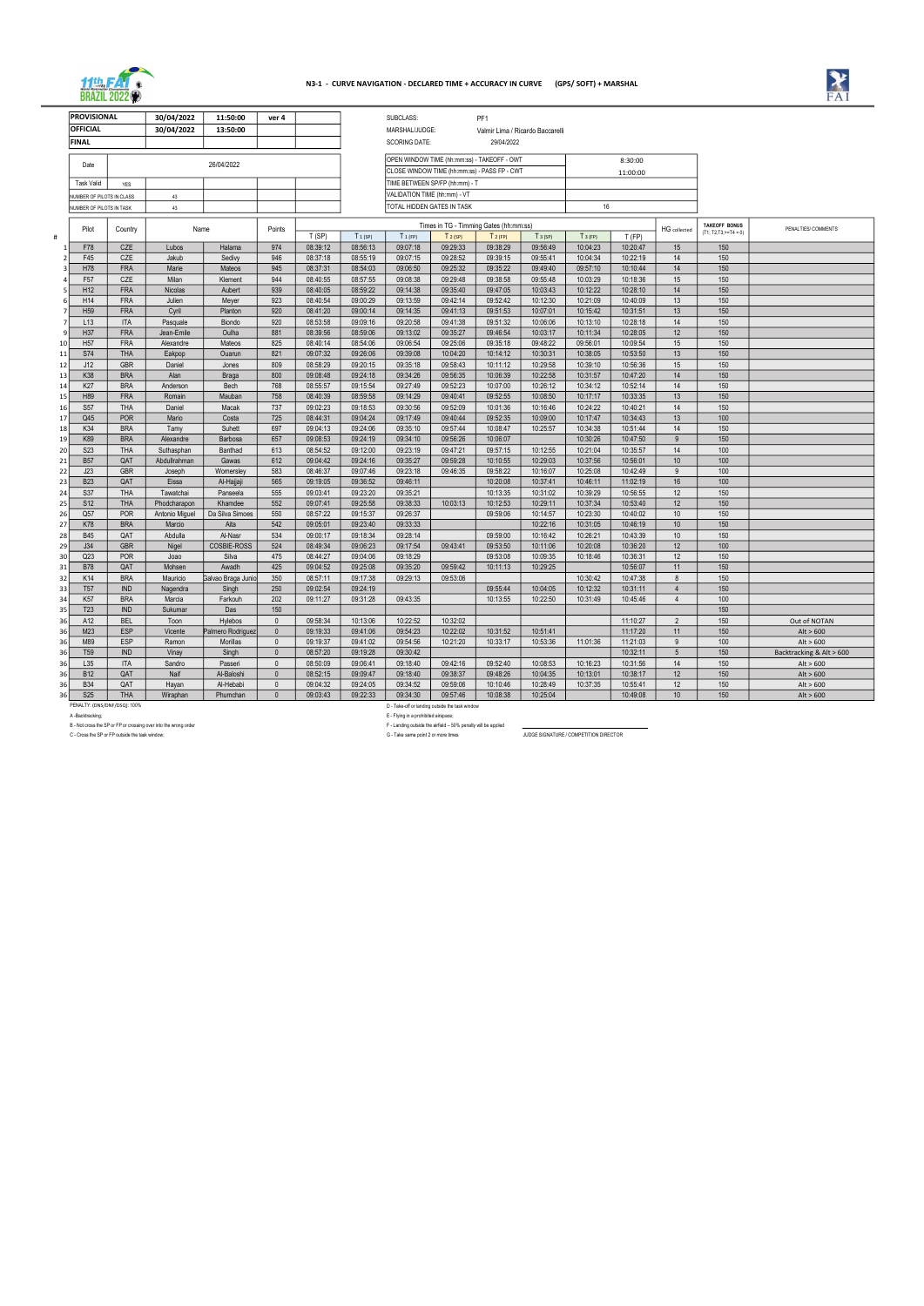A -Backtracking; E - Flying in a prohibited airspace; B - Not cross the SP or FP or crossing over into the wrong order F and the wrong order F or the wrong order F - Landing outside the airfield – 50% penalty will be applied the airfield – set of the and the street of the str

| <b>PROVISIONAL</b>                                       |                                 | 30/04/2022       | 11:50:00               | ver 4        |                      |                                | SUBCLASS:                                          |                                              | PF1                  |                      |                      |                      |                 |                                                 |                          |
|----------------------------------------------------------|---------------------------------|------------------|------------------------|--------------|----------------------|--------------------------------|----------------------------------------------------|----------------------------------------------|----------------------|----------------------|----------------------|----------------------|-----------------|-------------------------------------------------|--------------------------|
| <b>OFFICIAL</b>                                          |                                 | 30/04/2022       | 13:50:00               |              |                      |                                | MARSHAL/JUDGE:<br>Valmir Lima / Ricardo Baccarelli |                                              |                      |                      |                      |                      |                 |                                                 |                          |
| <b>FINAL</b>                                             |                                 |                  |                        |              |                      |                                | <b>SCORING DATE:</b><br>29/04/2022                 |                                              |                      |                      |                      |                      |                 |                                                 |                          |
|                                                          |                                 |                  |                        |              |                      |                                |                                                    |                                              |                      |                      |                      |                      |                 |                                                 |                          |
|                                                          | 26/04/2022<br>Date              |                  |                        |              |                      |                                |                                                    | OPEN WINDOW TIME (hh:mm:ss) - TAKEOFF - OWT  |                      | 8:30:00              |                      |                      |                 |                                                 |                          |
|                                                          |                                 |                  |                        |              |                      |                                |                                                    | CLOSE WINDOW TIME (hh:mm:ss) - PASS FP - CWT |                      | 11:00:00             |                      |                      |                 |                                                 |                          |
|                                                          | <b>Task Valid</b><br><b>YES</b> |                  |                        |              |                      | TIME BETWEEN SP/FP (hh:mm) - T |                                                    |                                              |                      |                      |                      |                      |                 |                                                 |                          |
|                                                          | NUMBER OF PILOTS IN CLASS       | 43               |                        |              |                      |                                | VALIDATION TIME (hh:mm) - VT                       |                                              |                      |                      |                      |                      |                 |                                                 |                          |
|                                                          | NUMBER OF PILOTS IN TASK        | 43               |                        |              |                      |                                | TOTAL HIDDEN GATES IN TASK                         |                                              |                      |                      | 16                   |                      |                 |                                                 |                          |
|                                                          |                                 |                  |                        |              |                      |                                | Times in TG - Timming Gates (hh:mm:ss)             |                                              |                      |                      |                      |                      |                 |                                                 |                          |
| Pilot                                                    | Country                         | Name             |                        | Points       | T(SP)                | $T_1$ (SP)                     | $T_1$ (FP)                                         | $T2$ (SP)                                    | T <sub>2</sub> (FP)  | $T_3$ (SP)           | $T_3$ (FP)           | T(FP)                | HG collected    | <b>TAKEOFF BONUS</b><br>$(T1; T2,T3,\geq=T4=0)$ | PENALTIES/ COMMENTS      |
| F78                                                      | CZE                             | Lubos            | Halama                 | 974          | 08:39:12             | 08:56:13                       | 09:07:18                                           | 09:29:33                                     | 09:38:29             | 09:56:49             | 10:04:23             | 10:20:47             | 15              | 150                                             |                          |
| F45                                                      | CZE                             | Jakub            | Sedivy                 | 946          | 08:37:18             | 08:55:19                       | 09:07:15                                           | 09:28:52                                     | 09:39:15             | 09:55:41             | 10:04:34             | 10:22:19             | 14              | 150                                             |                          |
| H78                                                      | <b>FRA</b>                      | Marie            | Mateos                 | 945          | 08:37:31             | 08:54:03                       | 09:06:50                                           | 09:25:32                                     | 09:35:22             | 09:49:40             | 09:57:10             | 10:10:44             | 14              | 150                                             |                          |
| F57                                                      | CZE                             | Milan            | Klement                | 944          | 08:40:55             | 08:57:55                       | 09:08:38                                           | 09:29:48                                     | 09:38:58             | 09:55:48             | 10:03:29             | 10:18:36             | 15              | 150                                             |                          |
| H <sub>12</sub>                                          | <b>FRA</b>                      | Nicolas          | Aubert                 | 939          | 08:40:05             | 08:59:22                       | 09:14:38                                           | 09:35:40                                     | 09:47:05             | 10:03:43             | 10:12:22             | 10:28:10             | 14              | 150                                             |                          |
| H14                                                      | <b>FRA</b>                      | Julien           | Meyer                  | 923          | 08:40:54             | 09:00:29                       | 09:13:59                                           | 09:42:14                                     | 09:52:42             | 10:12:30             | 10:21:09             | 10:40:09             | 13              | 150                                             |                          |
| H <sub>59</sub>                                          | <b>FRA</b>                      | Cyril            | Planton                | 920          | 08:41:20             | 09:00:14                       | 09:14:35                                           | 09:41:13                                     | 09:51:53             | 10:07:01             | 10:15:42             | 10:31:51             | 13              | 150                                             |                          |
| L13                                                      | <b>ITA</b>                      | Pasquale         | Biondo                 | 920          | 08:53:58             | 09:09:16                       | 09:20:58                                           | 09:41:38                                     | 09:51:32             | 10:06:06             | 10:13:10             | 10:28:18             | 14              | 150                                             |                          |
| H37                                                      | <b>FRA</b>                      | Jean-Emile       | Oulha                  | 881          | 08:39:56             | 08:59:06                       | 09:13:02                                           | 09:35:27                                     | 09:46:54             | 10:03:17             | 10:11:34             | 10:28:05             | 12              | 150                                             |                          |
| H <sub>57</sub><br>10                                    | <b>FRA</b>                      | Alexandre        | Mateos                 | 825          | 08:40:14             | 08:54:06                       | 09:06:54                                           | 09:25:06                                     | 09:35:18             | 09:48:22             | 09:56:01             | 10:09:54             | 15              | 150                                             |                          |
| <b>S74</b><br>11                                         | <b>THA</b>                      | Eakpop           | Ouarun                 | 821          | 09:07:32             | 09:26:06                       | 09:39:08                                           | 10:04:20                                     | 10:14:12             | 10:30:31             | 10:38:05             | 10:53:50             | 13              | 150                                             |                          |
| J12<br>12                                                | <b>GBR</b>                      | Daniel           | Jones                  | 809          | 08:58:29             | 09:20:15                       | 09:35:18                                           | 09:58:43                                     | 10:11:12             | 10:29:58             | 10:39:10             | 10:56:36             | 15              | 150                                             |                          |
| K38<br>13                                                | <b>BRA</b>                      | Alan             | <b>Braga</b>           | 800          | 09:08:48             | 09:24:18                       | 09:34:26                                           | 09:56:35                                     | 10:06:39             | 10:22:58             | 10:31:57             | 10:47:20             | 14              | 150                                             |                          |
| K27<br>14                                                | <b>BRA</b>                      | Anderson         | Bech                   | 768          | 08:55:57             | 09:15:54                       | 09:27:49                                           | 09:52:23                                     | 10:07:00             | 10:26:12             | 10:34:12             | 10:52:14             | 14              | 150                                             |                          |
| H89<br>15                                                | <b>FRA</b>                      | Romain           | Mauban                 | 758          | 08:40:39             | 08:59:58                       | 09:14:29                                           | 09:40:41                                     | 09:52:55             | 10:08:50             | 10:17:17             | 10:33:35             | 13              | 150                                             |                          |
| <b>S57</b><br>16                                         | <b>THA</b>                      | Daniel           | Macak                  | 737          | 09:02:23             | 09:18:53                       | 09:30:56                                           | 09:52:09                                     | 10:01:36             | 10:16:46             | 10:24:22             | 10:40:21             | 14              | 150                                             |                          |
| Q45<br>17                                                | <b>POR</b>                      | Mario            | Costa                  | 725          | 08:44:31             | 09:04:24                       | 09:17:49                                           | 09:40:44                                     | 09:52:35             | 10:09:00             | 10:17:47             | 10:34:43             | 13              | 100                                             |                          |
| K34<br>18                                                | <b>BRA</b>                      | Tamy             | Suhett                 | 697          | 09:04:13             | 09:24:06                       | 09:35:10                                           | 09:57:44                                     | 10:08:47             | 10:25:57             | 10:34:38             | 10:51:44             | 14              | 150                                             |                          |
| K89<br>19                                                | <b>BRA</b>                      | Alexandre        | Barbosa                | 657          | 09:08:53             | 09:24:19                       | 09:34:10                                           | 09:56:26                                     | 10:06:07             |                      | 10:30:26             | 10:47:50             | 9               | 150                                             |                          |
| <b>S23</b><br>20                                         | <b>THA</b>                      | Suthasphan       | Banthad                | 613          | 08:54:52             | 09:12:00                       | 09:23:19                                           | 09:47:21                                     | 09:57:15             | 10:12:55             | 10:21:04             | 10:35:57             | 14              | 100                                             |                          |
| <b>B57</b><br>21                                         | QAT                             | Abdullrahman     | Gawas                  | 612          | 09:04:42             | 09:24:16                       | 09:35:27                                           | 09:59:28                                     | 10:10:55             | 10:29:03             | 10:37:56             | 10:56:01             | 10              | 100                                             |                          |
| J23<br>22                                                | <b>GBR</b>                      | Joseph           | Womersley              | 583          | 08:46:37             | 09:07:46                       | 09:23:18                                           | 09:46:35                                     | 09:58:22             | 10:16:07             | 10:25:08             | 10:42:49             | 9               | 100                                             |                          |
| <b>B23</b><br>23                                         | QAT                             | Eissa            | Al-Hajjaji             | 565          | 09:19:05             | 09:36:52                       | 09:46:11                                           |                                              | 10:20:08             | 10:37:41             | 10:46:11             | 11:02:19             | 16              | 100                                             |                          |
| S37<br>24                                                | <b>THA</b>                      | Tawatchai        | Panseela               | 555          | 09:03:41             | 09:23:20                       | 09:35:21                                           |                                              | 10:13:35             | 10:31:02             | 10:39:29             | 10:56:55             | 12              | 150                                             |                          |
| <b>S12</b><br>25                                         | <b>THA</b>                      | Phodcharapon     | Khamdee                | 552          | 09:07:41             | 09:25:58                       | 09:38:33                                           | 10:03:13                                     | 10:12:53             | 10:29:11             | 10:37:34             | 10:53:40             | 12              | 150<br>150                                      |                          |
| Q57<br>26                                                | <b>POR</b>                      | Antonio Miguel   | Da Silva Simoes        | 550<br>542   | 08:57:22             | 09:15:37<br>09:23:40           | 09:26:37                                           |                                              | 09:59:06             | 10:14:57<br>10:22:16 | 10:23:30             | 10:40:02             | 10<br>10        | 150                                             |                          |
| <b>K78</b><br>27                                         | <b>BRA</b>                      | Marcio           | Aita                   | 534          | 09:05:01             |                                | 09:33:33                                           |                                              |                      |                      | 10:31:05             | 10:46:19             |                 | 150                                             |                          |
| <b>B45</b><br>28<br>J34                                  | QAT<br><b>GBR</b>               | Abdulla<br>Nigel | Al-Nasr<br>COSBIE-ROSS | 524          | 09:00:17<br>08:49:34 | 09:18:34<br>09:06:23           | 09:28:14<br>09:17:54                               | 09:43:41                                     | 09:59:00<br>09:53:50 | 10:16:42<br>10:11:06 | 10:26:21<br>10:20:08 | 10:43:39<br>10:36:20 | 10<br>12        | 100                                             |                          |
| 29<br>Q23<br>30                                          | <b>POR</b>                      | Joao             | Silva                  | 475          | 08:44:27             | 09:04:06                       | 09:18:29                                           |                                              | 09:53:08             | 10:09:35             | 10:18:46             | 10:36:31             | 12              | 150                                             |                          |
| <b>B78</b><br>31                                         | QAT                             | Mohsen           | Awadh                  | 425          | 09:04:52             | 09:25:08                       | 09:35:20                                           | 09:59:42                                     | 10:11:13             | 10:29:25             |                      | 10:56:07             | 11              | 150                                             |                          |
| K14<br>32                                                | <b>BRA</b>                      | Mauricio         | Galvao Braga Junio     | 350          | 08:57:11             | 09:17:38                       | 09:29:13                                           | 09:53:06                                     |                      |                      | 10:30:42             | 10:47:38             | 8               | 150                                             |                          |
| <b>T57</b><br>33                                         | <b>IND</b>                      | Nagendra         | Singh                  | 250          | 09:02:54             | 09:24:19                       |                                                    |                                              | 09:55:44             | 10:04:05             | 10:12:32             | 10:31:11             | $\overline{4}$  | 150                                             |                          |
| K <sub>57</sub><br>34                                    | <b>BRA</b>                      | Marcia           | Farkouh                | 202          | 09:11:27             | 09:31:28                       | 09:43:35                                           |                                              | 10:13:55             | 10:22:50             | 10:31:49             | 10:45:46             | $\overline{4}$  | $\frac{100}{100}$                               |                          |
| T <sub>23</sub><br>35                                    | <b>IND</b>                      | Sukumar          | Das                    | 150          |                      |                                |                                                    |                                              |                      |                      |                      |                      |                 | 150                                             |                          |
| A12<br>36                                                | <b>BEL</b>                      | Toon             | Hylebos                | $\mathbf 0$  | 09:58:34             | 10:13:06                       | 10:22:52                                           | 10:32:02                                     |                      |                      |                      | 11:10:27             | $\overline{2}$  | 150                                             | Out of NOTAN             |
| M23<br>36                                                | ESP                             | Vicente          | Palmero Rodriguez      | $\mathbf 0$  | 09:19:33             | 09:41:06                       | 09:54:23                                           | 10:22:02                                     | 10:31:52             | 10:51:41             |                      | 11:17:20             | 11              | 150                                             | Alt > 600                |
| M89<br>36                                                | ESP                             | Ramon            | Morillas               | $\mathbf 0$  | 09:19:37             | 09:41:02                       | 09:54:56                                           | 10:21:20                                     | 10:33:17             | 10:53:36             | 11:01:36             | 11:21:03             | 9               | 100                                             | Alt > 600                |
| T <sub>59</sub><br>36                                    | <b>IND</b>                      | Vinay            | Singh                  | $\mathbf 0$  | 08:57:20             | 09:19:28                       | 09:30:42                                           |                                              |                      |                      |                      | 10:32:11             | $5\overline{5}$ | 150                                             | Backtracking & Alt > 600 |
| L35<br>36                                                | ITA                             | Sandro           | Passeri                | $\mathbf 0$  | 08:50:09             | 09:06:41                       | 09:18:40                                           | 09:42:16                                     | 09:52:40             | 10:08:53             | 10:16:23             | 10:31:56             | 14              | 150                                             | Alt > 600                |
| <b>B12</b><br>36                                         | QAT                             | Naif             | Al-Baloshi             | $\mathbf 0$  | 08:52:15             | 09:09:47                       | 09:18:40                                           | 09:38:37                                     | 09:48:26             | 10:04:35             | 10:13:01             | 10:38:17             | 12              | 150                                             | Alt > 600                |
| <b>B34</b><br>36                                         | QAT                             | Hayan            | Al-Hebabi              | $\mathbf 0$  | 09:04:32             | 09:24:05                       | 09:34:52                                           | 09:59:06                                     | 10:10:46             | 10:28:49             | 10:37:35             | 10:55:41             | 12              | 150                                             | Alt > 600                |
| <b>S25</b><br>36                                         | <b>THA</b>                      | Wiraphan         | Phumchan               | $\mathbf{0}$ | 09:03:43             | 09:22:33                       | 09:34:30                                           | 09:57:46                                     | 10:08:38             | 10:25:04             |                      | 10:49:08             | 10              | 150                                             | Alt $> 600$              |
|                                                          | PENALTY: (DNS/DNF/DSQ): 100%    |                  |                        |              |                      |                                | D - Take-off or landing outside the task window    |                                              |                      |                      |                      |                      |                 |                                                 |                          |
| A -Backtracking;<br>E - Flying in a prohibited airspace; |                                 |                  |                        |              |                      |                                |                                                    |                                              |                      |                      |                      |                      |                 |                                                 |                          |

C - Cross the SP or FP outside the task window; G - Take same point 2 or more times JUDGE SIGNATURE / COMPETITION DIRECTOR



## N3-1 - CURVE NAVIGATION - DECLARED TIME + ACCURACY IN CURVE (GPS/ SOFT) + MARSHAL